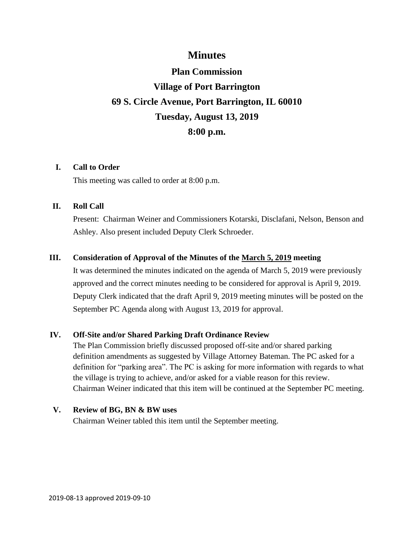# **Minutes**

# **Plan Commission Village of Port Barrington 69 S. Circle Avenue, Port Barrington, IL 60010 Tuesday, August 13, 2019 8:00 p.m.**

#### **I. Call to Order**

This meeting was called to order at 8:00 p.m.

#### **II. Roll Call**

Present: Chairman Weiner and Commissioners Kotarski, Disclafani, Nelson, Benson and Ashley. Also present included Deputy Clerk Schroeder.

#### **III. Consideration of Approval of the Minutes of the March 5, 2019 meeting**

It was determined the minutes indicated on the agenda of March 5, 2019 were previously approved and the correct minutes needing to be considered for approval is April 9, 2019. Deputy Clerk indicated that the draft April 9, 2019 meeting minutes will be posted on the September PC Agenda along with August 13, 2019 for approval.

# **IV. Off-Site and/or Shared Parking Draft Ordinance Review**

The Plan Commission briefly discussed proposed off-site and/or shared parking definition amendments as suggested by Village Attorney Bateman. The PC asked for a definition for "parking area". The PC is asking for more information with regards to what the village is trying to achieve, and/or asked for a viable reason for this review. Chairman Weiner indicated that this item will be continued at the September PC meeting.

# **V. Review of BG, BN & BW uses**

Chairman Weiner tabled this item until the September meeting.